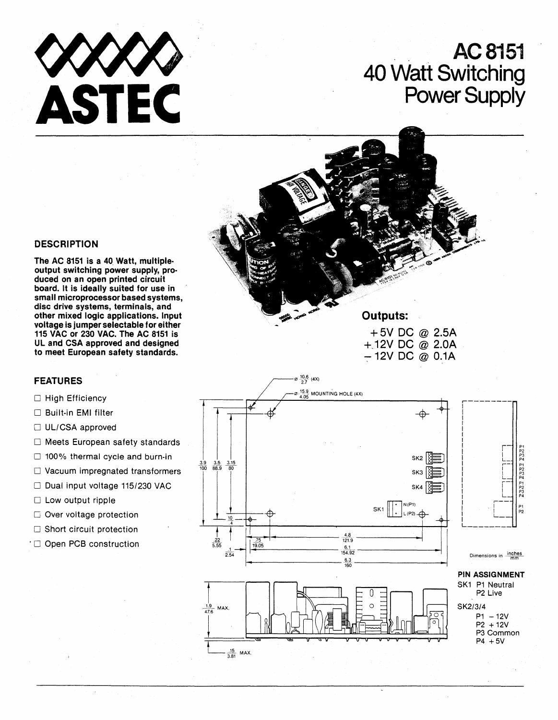

# **AC8151 40 Watt Switching Power Supply**

### **DESCRIPTION**

**The AC 8151 is a** 40. **Watt, multipleoutput switching power supply, produced on an open printed circuit board. It is ideally suited for use in small microprocessor based systems,**  disc drive systems, terminals, and **other mixed logic applications. Input voltage is jumper selectable for either 115 VAC or 230 VAC. The AC 8151 is UL and CSA approved and designed to meet European safety standards.** 

## **FEATURES**

#### $\Box$  High Efficiency

- o Built-in **EMI** filter
- $\Box$  UL/CSA approved
- $\Box$  Meets European safety standards
- $\Box$  100% thermal cycle and burn-in
- $\Box$  Vacuum impregnated transformers
- Dual input voltage 115/230 VAC
- $\Box$  Low output ripple
- $\square$  Over voltage protection
- $\Box$  Short circuit protection
- . 0 Open PCB construction



 $\infty$   $\frac{10.6}{27}$  (4X)

**Outputs:** 

**+5V DC @ 2.5A**  +,12V **DC @ 2.0A -:-12V DC @ O.1A** 



,-------- <sup>I</sup>  $\begin{bmatrix} 1 & 0 \\ 0 & 0 \end{bmatrix}$  r- $\begin{array}{ccc} \n\cdot & \cdot & \cdot \\
\cdot & \cdot & \cdot \\
\cdot & \cdot & \cdot\n\end{array}$  $\begin{array}{ccc} \begin{array}{ccc} \end{array} & \begin{array}{ccc} \end{array} & \begin{array}{ccc} \end{array} & \begin{array}{ccc} \end{array} & \begin{array}{ccc} \end{array} & \begin{array}{ccc} \end{array} & \begin{array}{ccc} \end{array} & \begin{array}{ccc} \end{array} & \begin{array}{ccc} \end{array} & \begin{array}{ccc} \end{array} & \begin{array}{ccc} \end{array} & \begin{array}{ccc} \end{array} & \begin{array}{ccc} \end{array} & \begin{array}{ccc} \end{array} & \begin{array}{ccc} \end{array} & \begin{array}{ccc} \end{array} & \begin{array}{$  $\begin{bmatrix} 1 & 1 \\ 1 & 1 \end{bmatrix}$ I P2  $\frac{1}{2}$   $\frac{1}{2}$  $\left| \begin{array}{cc} \end{array} \right|$  $\begin{bmatrix} 1 & 1 \\ 1 & 1 \end{bmatrix}$   $\begin{bmatrix} P_1 \\ P_2 \\ P_3 \end{bmatrix}$ P<sub>1</sub><br>P<sub>23</sub><br>P<sub>4</sub>  $\begin{bmatrix} 1 & 1 \\ 1 & 1 \end{bmatrix}$   $\begin{bmatrix} 1 & 1 \\ 1 & 1 \end{bmatrix}$   $\begin{bmatrix} 1 & 1 \\ 1 & 1 \end{bmatrix}$ I r--  $\begin{bmatrix} 1 & 1 \\ 1 & 1 \end{bmatrix}$  . If  $\begin{bmatrix} P1 \\ P2 \end{bmatrix}$  $\begin{bmatrix} 1 & 1 \\ 1 & 1 \end{bmatrix}$  P2 I L <del>L L L</del> Dimensions in  $\frac{inches}{mm}$ **PIN ASSIGNMENT** 

SK1 P1 Neutral P2 Live SK2/3/4  $P1 - 12V$ P2 + 12V P3 Common  $P4 + 5V$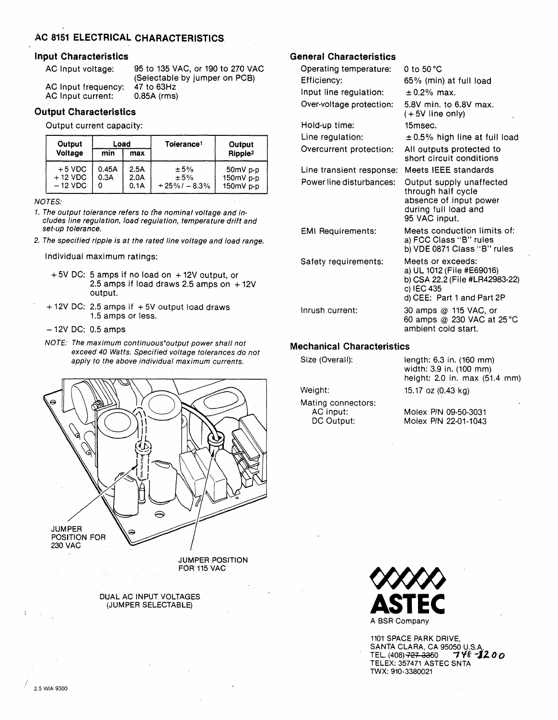## **AC 8151 ELECTRICAL CHARACTERISTICS**

#### Input Characteristics

AC Input voltage:

AC Input frequency: AC Input current:

95 to 135 VAC, or 190 to 270 VAC (Selectable by jumper on PCB) 47 to 63Hz<br>0.85A (rms)

#### Output Characteristics

Output current capacity:

| Output                             | Load               |                      | Tolerance <sup>1</sup>         | Output                               |
|------------------------------------|--------------------|----------------------|--------------------------------|--------------------------------------|
| Voltage                            | min                | max                  |                                | Ripple <sup>2</sup>                  |
| $+5$ VDC<br>$+12$ VDC<br>$-12$ VDC | 0.45A<br>0.3A<br>0 | 2.5A<br>2.0A<br>0.1A | ± 5%<br>±5%<br>$+25\% - 8.3\%$ | $50mV$ p-p<br>150mV p-p<br>150mV p-p |

NOTES:

- 1. The output tolerance refers to the nominal voltage and includes line regulation, load regulation, temperature drift and set-up tolerance.
- 2. The specified ripple is at the rated line voltage and load range.

Individual maximum ratings:

- + 5V DC: 5 amps if no load on +12V output, or 2.5 amps if load draws 2.5 amps on  $+12V$ output.
- $+ 12V$  DC: 2.5 amps if  $+ 5V$  output load draws 1.5 amps or less.
- 12V DC: 0.5 amps
- NOTE: The maximum continuous'output power shall not exceed 40 Watts. Specified voltage tolerances do not apply to the above individual maximum currents.



DUAL AC INPUT VOLTAGES (JUMPER SELECTABLE)

## General Characteristics

Operating temperature: 0 to 50°C Efficiency: 65% (min) at full load Input line regulation:  $\pm 0.2\%$  max. Over-voltage protection: 5.8V min. to 6.8V max.

Hold-up time: 15msec.

Line transient response: Meets IEEE standards

Safety requirements: Meets or exceeds:

#### Mechanical Characteristics

Size (Overall):

Weight:

Mating connectors: AG input: DC Output:

 $(+ 5V)$  line only)

Line regulation:  $± 0.5%$  high line at full load

Overcurrent protection: All outputs protected to short circuit conditions

Power line disturbances: Output supply unaffected through half cycle absence of input power during full load and 95 VAC input.

EMI Requirements: Meets conduction limits of: a) FCC Class "B" rules b) VDE 0871 Class "B" rules

> a) UL 1012 (File #E69016) b) CSA 22.2 (File #LR42983-22) c) IEC 435 d) CEE: Part 1 and Part 2P

Inrush current: 30 amps @ 115 VAG, or 60 amps @ 230 VAC at 25°C ambient cold start.

> length: 6.3 in. (160 mm) width: 3.9 in. (100 mm) height: 2.0 in. max (51.4 mm)

15.17 oz (0.43 kg)

Molex PIN 09-50-3031 Molex PIN 22-01·1043



1101 SPACE PARK DRIVE, SANTA CLARA, CA 95050 U.S.A.<br>TEL. (408) <del>727-335</del>0 **7 Y & 1200** TEL. (408) 727 3350 TELEX: 357471 ASTEC SNTA TWX: 910-3380021